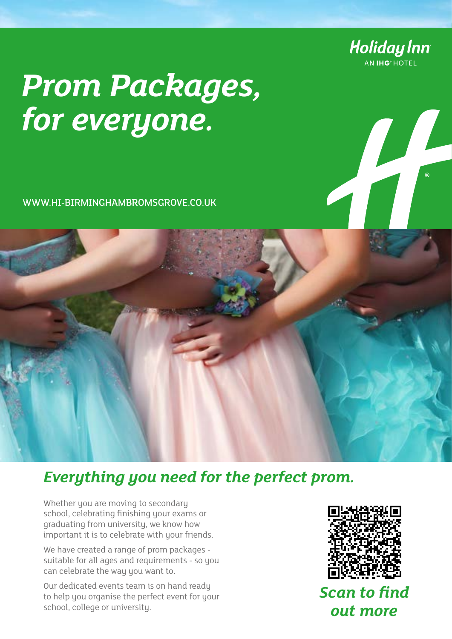

# *Prom Packages, for everyone.*

WWW.HI-BIRMINGHAMBROMSGROVE.CO.UK

## *Everything you need for the perfect prom.*

Whether you are moving to secondary school, celebrating finishing your exams or graduating from university, we know how important it is to celebrate with your friends.

We have created a range of prom packages suitable for all ages and requirements - so you can celebrate the way you want to.

Our dedicated events team is on hand ready to help you organise the perfect event for your school, college or university.



*Scan to find out more*